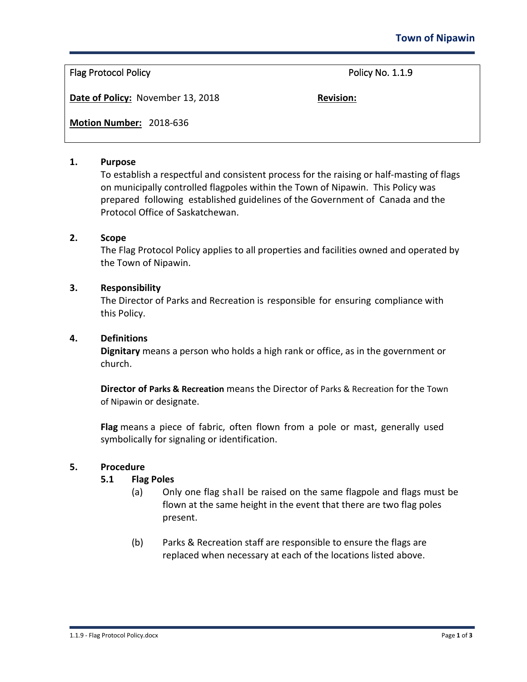# Flag Protocol Policy **Policy** Policy Research Policy No. 1.1.9

**Date of Policy:** November 13, 2018 **Revision:** 

**Motion Number:** 2018-636

#### **1. Purpose**

To establish a respectful and consistent process for the raising or half-masting of flags on municipally controlled flagpoles within the Town of Nipawin. This Policy was prepared following established guidelines of the Government of Canada and the Protocol Office of Saskatchewan.

#### **2. Scope**

The Flag Protocol Policy applies to all properties and facilities owned and operated by the Town of Nipawin.

#### **3. Responsibility**

The Director of Parks and Recreation is responsible for ensuring compliance with this Policy.

#### **4. Definitions**

**Dignitary** means a person who holds a high rank or office, as in the government or church.

**Director of Parks & Recreation** means the Director of Parks & Recreation for the Town of Nipawin or designate.

**Flag** means a piece of fabric, often flown from a pole or mast, generally used symbolically for signaling or identification.

## **5. Procedure**

## **5.1 Flag Poles**

- (a) Only one flag shall be raised on the same flagpole and flags must be flown at the same height in the event that there are two flag poles present.
- (b) Parks & Recreation staff are responsible to ensure the flags are replaced when necessary at each of the locations listed above.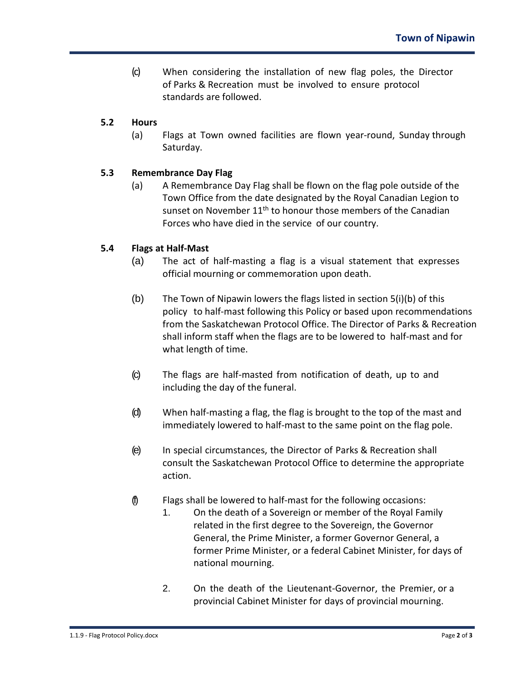(c) When considering the installation of new flag poles, the Director of Parks & Recreation must be involved to ensure protocol standards are followed.

# **5.2 Hours**

(a) Flags at Town owned facilities are flown year-round, Sunday through Saturday.

# **5.3 Remembrance Day Flag**

(a) A Remembrance Day Flag shall be flown on the flag pole outside of the Town Office from the date designated by the Royal Canadian Legion to sunset on November  $11<sup>th</sup>$  to honour those members of the Canadian Forces who have died in the service of our country.

## **5.4 Flags at Half-Mast**

- (a) The act of half-masting a flag is a visual statement that expresses official mourning or commemoration upon death.
- (b) The Town of Nipawin lowers the flags listed in section 5(i)(b) of this policy to half-mast following this Policy or based upon recommendations from the Saskatchewan Protocol Office. The Director of Parks & Recreation shall inform staff when the flags are to be lowered to half-mast and for what length of time.
- (c) The flags are half-masted from notification of death, up to and including the day of the funeral.
- (d) When half-masting a flag, the flag is brought to the top of the mast and immediately lowered to half-mast to the same point on the flag pole.
- (e) In special circumstances, the Director of Parks & Recreation shall consult the Saskatchewan Protocol Office to determine the appropriate action.
- (f) Flags shall be lowered to half-mast for the following occasions:
	- 1. On the death of a Sovereign or member of the Royal Family related in the first degree to the Sovereign, the Governor General, the Prime Minister, a former Governor General, a former Prime Minister, or a federal Cabinet Minister, for days of national mourning.
	- 2. On the death of the Lieutenant-Governor, the Premier, or a provincial Cabinet Minister for days of provincial mourning.